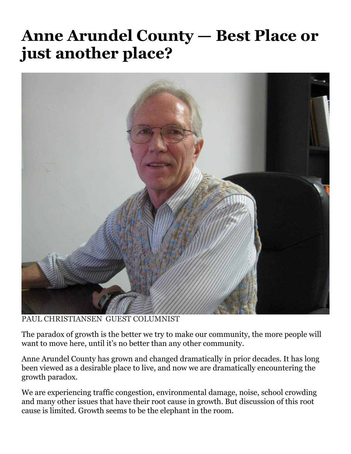## **Anne Arundel County — Best Place or just another place?**



PAUL CHRISTIANSEN GUEST COLUMNIST

The paradox of growth is the better we try to make our community, the more people will want to move here, until it's no better than any other community.

Anne Arundel County has grown and changed dramatically in prior decades. It has long been viewed as a desirable place to live, and now we are dramatically encountering the growth paradox.

We are experiencing traffic congestion, environmental damage, noise, school crowding and many other issues that have their root cause in growth. But discussion of this root cause is limited. Growth seems to be the elephant in the room.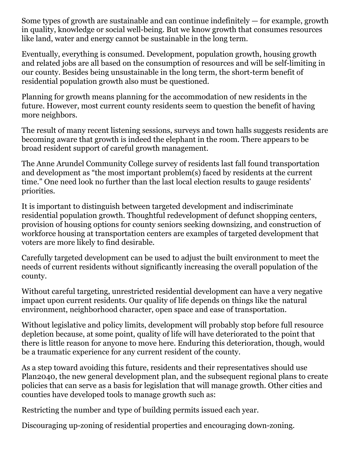Some types of growth are sustainable and can continue indefinitely — for example, growth in quality, knowledge or social well-being. But we know growth that consumes resources like land, water and energy cannot be sustainable in the long term.

Eventually, everything is consumed. Development, population growth, housing growth and related jobs are all based on the consumption of resources and will be self-limiting in our county. Besides being unsustainable in the long term, the short-term benefit of residential population growth also must be questioned.

Planning for growth means planning for the accommodation of new residents in the future. However, most current county residents seem to question the benefit of having more neighbors.

The result of many recent listening sessions, surveys and town halls suggests residents are becoming aware that growth is indeed the elephant in the room. There appears to be broad resident support of careful growth management.

The Anne Arundel Community College survey of residents last fall found transportation and development as "the most important problem(s) faced by residents at the current time." One need look no further than the last local election results to gauge residents' priorities.

It is important to distinguish between targeted development and indiscriminate residential population growth. Thoughtful redevelopment of defunct shopping centers, provision of housing options for county seniors seeking downsizing, and construction of workforce housing at transportation centers are examples of targeted development that voters are more likely to find desirable.

Carefully targeted development can be used to adjust the built environment to meet the needs of current residents without significantly increasing the overall population of the county.

Without careful targeting, unrestricted residential development can have a very negative impact upon current residents. Our quality of life depends on things like the natural environment, neighborhood character, open space and ease of transportation.

Without legislative and policy limits, development will probably stop before full resource depletion because, at some point, quality of life will have deteriorated to the point that there is little reason for anyone to move here. Enduring this deterioration, though, would be a traumatic experience for any current resident of the county.

As a step toward avoiding this future, residents and their representatives should use Plan2040, the new general development plan, and the subsequent regional plans to create policies that can serve as a basis for legislation that will manage growth. Other cities and counties have developed tools to manage growth such as:

Restricting the number and type of building permits issued each year.

Discouraging up-zoning of residential properties and encouraging down-zoning.